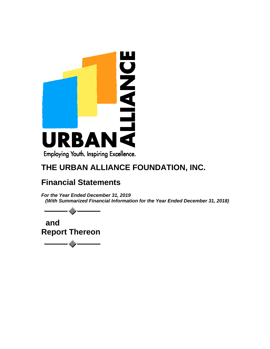

# **Financial Statements**

*For the Year Ended December 31, 2019 (With Summarized Financial Information for the Year Ended December 31, 2018)*

 **and Report Thereon**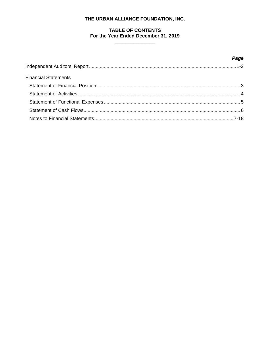# **TABLE OF CONTENTS** For the Year Ended December 31, 2019

 $\overline{a}$ 

|                             | Page |
|-----------------------------|------|
|                             |      |
| <b>Financial Statements</b> |      |
|                             |      |
|                             |      |
|                             |      |
|                             |      |
|                             |      |
|                             |      |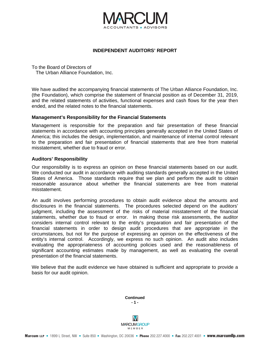

#### **INDEPENDENT AUDITORS' REPORT**

To the Board of Directors of The Urban Alliance Foundation, Inc.

We have audited the accompanying financial statements of The Urban Alliance Foundation, Inc. (the Foundation), which comprise the statement of financial position as of December 31, 2019, and the related statements of activities, functional expenses and cash flows for the year then ended, and the related notes to the financial statements.

#### **Management's Responsibility for the Financial Statements**

Management is responsible for the preparation and fair presentation of these financial statements in accordance with accounting principles generally accepted in the United States of America; this includes the design, implementation, and maintenance of internal control relevant to the preparation and fair presentation of financial statements that are free from material misstatement, whether due to fraud or error.

#### **Auditors' Responsibility**

Our responsibility is to express an opinion on these financial statements based on our audit. We conducted our audit in accordance with auditing standards generally accepted in the United States of America. Those standards require that we plan and perform the audit to obtain reasonable assurance about whether the financial statements are free from material misstatement.

An audit involves performing procedures to obtain audit evidence about the amounts and disclosures in the financial statements. The procedures selected depend on the auditors' iudament. including the assessment of the risks of material misstatement of the financial statements, whether due to fraud or error. In making those risk assessments, the auditor considers internal control relevant to the entity's preparation and fair presentation of the financial statements in order to design audit procedures that are appropriate in the circumstances, but not for the purpose of expressing an opinion on the effectiveness of the entity's internal control. Accordingly, we express no such opinion. An audit also includes evaluating the appropriateness of accounting policies used and the reasonableness of significant accounting estimates made by management, as well as evaluating the overall presentation of the financial statements.

We believe that the audit evidence we have obtained is sufficient and appropriate to provide a basis for our audit opinion.

> **Continued - 1 -**

M **MARCUMGROUP** MEMBER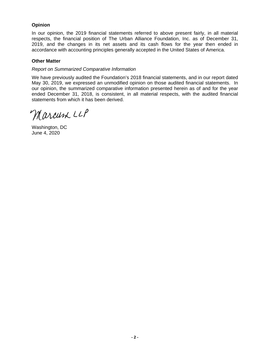# **Opinion**

In our opinion, the 2019 financial statements referred to above present fairly, in all material respects, the financial position of The Urban Alliance Foundation, Inc. as of December 31, 2019, and the changes in its net assets and its cash flows for the year then ended in accordance with accounting principles generally accepted in the United States of America.

### **Other Matter**

### *Report on Summarized Comparative Information*

We have previously audited the Foundation's 2018 financial statements, and in our report dated May 30, 2019, we expressed an unmodified opinion on those audited financial statements. In our opinion, the summarized comparative information presented herein as of and for the year ended December 31, 2018, is consistent, in all material respects, with the audited financial statements from which it has been derived.

Marcum LLP

Washington, DC June 4, 2020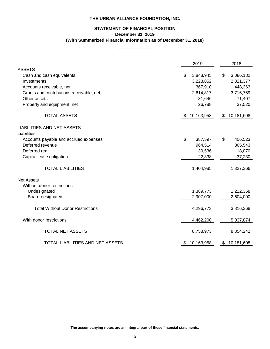# **STATEMENT OF FINANCIAL POSITION December 31, 2019 (With Summarized Financial Information as of December 31, 2018)**

 $\overline{\phantom{a}}$  , where  $\overline{\phantom{a}}$ 

|                                                  | 2019             | 2018             |
|--------------------------------------------------|------------------|------------------|
| <b>ASSETS</b>                                    |                  |                  |
| Cash and cash equivalents                        | \$<br>3,848,945  | \$<br>3,086,182  |
| Investments                                      | 3,223,852        | 2,821,377        |
| Accounts receivable, net                         | 367,910          | 448,363          |
| Grants and contributions receivable, net         | 2,614,817        | 3,716,759        |
| Other assets                                     | 81,646           | 71,407           |
| Property and equipment, net                      | 26,788           | 37,520           |
| <b>TOTAL ASSETS</b>                              | \$<br>10,163,958 | \$<br>10,181,608 |
| <b>LIABILITIES AND NET ASSETS</b><br>Liabilities |                  |                  |
| Accounts payable and accrued expenses            | \$<br>387,597    | \$<br>406,523    |
| Deferred revenue                                 | 964,514          | 865,543          |
| Deferred rent                                    | 30,536           | 18,070           |
| Capital lease obligation                         | 22,338           | 37,230           |
|                                                  |                  |                  |
| <b>TOTAL LIABILITIES</b>                         | 1,404,985        | 1,327,366        |
| <b>Net Assets</b>                                |                  |                  |
| Without donor restrictions                       |                  |                  |
| Undesignated                                     | 1,389,773        | 1,212,368        |
| Board-designated                                 | 2,907,000        | 2,604,000        |
| <b>Total Without Donor Restrictions</b>          | 4,296,773        | 3,816,368        |
| With donor restrictions                          | 4,462,200        | 5,037,874        |
| <b>TOTAL NET ASSETS</b>                          | 8,758,973        | 8,854,242        |
| TOTAL LIABILITIES AND NET ASSETS                 | \$<br>10,163,958 | \$<br>10,181,608 |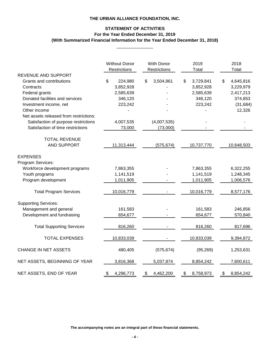# **STATEMENT OF ACTIVITIES For the Year Ended December 31, 2019 (With Summarized Financial Information for the Year Ended December 31, 2018)**

\_\_\_\_\_\_\_\_\_\_\_\_\_\_\_

|                                        | <b>Without Donor</b><br>Restrictions | <b>With Donor</b><br>Restrictions | 2019<br>Total   | 2018<br>Total   |
|----------------------------------------|--------------------------------------|-----------------------------------|-----------------|-----------------|
| <b>REVENUE AND SUPPORT</b>             |                                      |                                   |                 |                 |
| <b>Grants and contributions</b>        | \$<br>224,980                        | $\$\$<br>3,504,861                | 3,729,841<br>\$ | 4,645,816<br>\$ |
| Contracts                              | 3,852,928                            |                                   | 3,852,928       | 3,229,979       |
| Federal grants                         | 2,585,639                            |                                   | 2,585,639       | 2,417,213       |
| Donated facilities and services        | 346,120                              |                                   | 346,120         | 374,853         |
| Investment income, net                 | 223,242                              |                                   | 223,242         | (31, 684)       |
| Other income                           |                                      |                                   |                 | 12,326          |
| Net assets released from restrictions: |                                      |                                   |                 |                 |
| Satisfaction of purpose restrictions   | 4,007,535                            | (4,007,535)                       |                 |                 |
| Satisfaction of time restrictions      | 73,000                               | (73,000)                          |                 |                 |
| <b>TOTAL REVENUE</b>                   |                                      |                                   |                 |                 |
| <b>AND SUPPORT</b>                     | 11,313,444                           | (575, 674)                        | 10,737,770      | 10,648,503      |
| <b>EXPENSES</b>                        |                                      |                                   |                 |                 |
| Program Services:                      |                                      |                                   |                 |                 |
| Workforce development programs         | 7,863,355                            |                                   | 7,863,355       | 6,322,255       |
| Youth programs                         | 1,141,519                            |                                   | 1,141,519       | 1,248,345       |
| Program development                    | 1,011,905                            |                                   | 1,011,905       | 1,006,576       |
| <b>Total Program Services</b>          | 10,016,779                           |                                   | 10,016,779      | 8,577,176       |
| <b>Supporting Services:</b>            |                                      |                                   |                 |                 |
| Management and general                 | 161,583                              |                                   | 161,583         | 246,856         |
| Development and fundraising            | 654,677                              |                                   | 654,677         | 570,840         |
|                                        |                                      |                                   |                 |                 |
| <b>Total Supporting Services</b>       | 816,260                              |                                   | 816,260         | 817,696         |
| TOTAL EXPENSES                         | 10,833,039                           |                                   | 10,833,039      | 9,394,872       |
| <b>CHANGE IN NET ASSETS</b>            | 480,405                              | (575, 674)                        | (95, 269)       | 1,253,631       |
| NET ASSETS, BEGINNING OF YEAR          | 3,816,368                            | 5,037,874                         | 8,854,242       | 7,600,611       |
| NET ASSETS, END OF YEAR                | 4,296,773<br>\$                      | 4,462,200<br>\$                   | \$<br>8,758,973 | 8,854,242<br>\$ |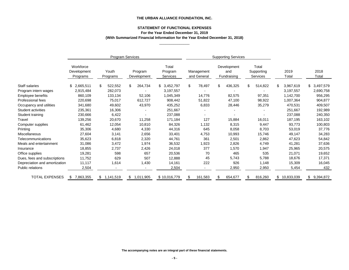# **STATEMENT OF FUNCTIONAL EXPENSES For the Year Ended December 31, 2019 (With Summarized Financial Information for the Year Ended December 31, 2018)**

\_\_\_\_\_\_\_\_\_\_\_\_\_\_\_

|                               |                                      |                   | <b>Program Services</b> |                              |                           |                                   | <b>Supporting Services</b>      |                  |                 |
|-------------------------------|--------------------------------------|-------------------|-------------------------|------------------------------|---------------------------|-----------------------------------|---------------------------------|------------------|-----------------|
|                               | Workforce<br>Development<br>Programs | Youth<br>Programs | Program<br>Development  | Total<br>Program<br>Services | Management<br>and General | Development<br>and<br>Fundraising | Total<br>Supporting<br>Services | 2019<br>Total    | 2018<br>Total   |
| Staff salaries                | 2,665,511<br>\$                      | \$<br>522,552     | 264,734<br>\$           | \$3,452,797                  | $\mathbb{S}$<br>78,497    | 436,325<br>\$.                    | $\mathbb{S}$<br>514,822         | 3,967,619<br>\$  | \$<br>3,497,579 |
| Program intern wages          | 2,915,484                            | 282,073           |                         | 3,197,557                    |                           |                                   |                                 | 3,197,557        | 2,690,758       |
| Employee benefits             | 860,109                              | 133,134           | 52,106                  | 1,045,349                    | 14,776                    | 82,575                            | 97,351                          | 1,142,700        | 956,295         |
| Professional fees             | 220,698                              | 75,017            | 612,727                 | 908,442                      | 51,822                    | 47,100                            | 98,922                          | 1,007,364        | 904,877         |
| Occupancy and utilities       | 341,680                              | 49,602            | 43,970                  | 435,252                      | 6,833                     | 28,446                            | 35,279                          | 470,531          | 409,507         |
| Student activities            | 235,361                              | 16,306            |                         | 251,667                      |                           |                                   |                                 | 251,667          | 192,989         |
| Student training              | 230,666                              | 6,422             |                         | 237,088                      |                           |                                   |                                 | 237,088          | 240,350         |
| Travel                        | 139,256                              | 20,670            | 11,258                  | 171,184                      | 127                       | 15,884                            | 16,011                          | 187,195          | 163,102         |
| Computer supplies             | 61,462                               | 12,054            | 10,810                  | 84,326                       | 1,132                     | 8,315                             | 9,447                           | 93,773           | 100,803         |
| Printing                      | 35,306                               | 4,680             | 4,330                   | 44,316                       | 645                       | 8,058                             | 8,703                           | 53,019           | 37,776          |
| <b>Miscellaneous</b>          | 27,604                               | 3,141             | 2,656                   | 33,401                       | 4,753                     | 10,993                            | 15,746                          | 49,147           | 34,283          |
| <b>Telecommunications</b>     | 35,623                               | 6,818             | 2,320                   | 44,761                       | 361                       | 2,501                             | 2,862                           | 47,623           | 54,842          |
| Meals and entertainment       | 31,086                               | 3,472             | 1,974                   | 36,532                       | 1,923                     | 2,826                             | 4,749                           | 41,281           | 37,636          |
| Insurance                     | 18,855                               | 2,737             | 2,426                   | 24,018                       | 377                       | 1,570                             | 1,947                           | 25,965           | 20,575          |
| Office supplies               | 19,281                               | 598               | 657                     | 20,536                       | 70                        | 465                               | 535                             | 21,071           | 19,652          |
| Dues, fees and subscriptions  | 11,752                               | 629               | 507                     | 12,888                       | 45                        | 5,743                             | 5,788                           | 18,676           | 17,371          |
| Depreciation and amortization | 11,117                               | 1,614             | 1,430                   | 14,161                       | 222                       | 926                               | 1,148                           | 15,309           | 16,045          |
| Public relations              | 2,504                                |                   |                         | 2,504                        |                           | 2,950                             | 2,950                           | 5,454            | 432             |
| <b>TOTAL EXPENSES</b>         | 7,863,355<br>\$                      | 1,141,519<br>\$   | 1,011,905<br>\$         | \$10,016,779                 | 161,583<br>\$             | 654,677                           | 816,260                         | 10,833,039<br>\$ | 9,394,872<br>\$ |

**The accompanying notes are an integral part of these financial statements.**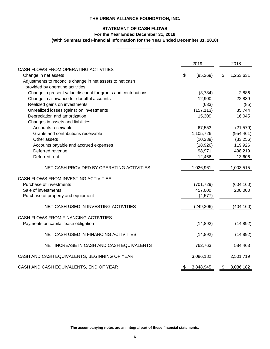# **STATEMENT OF CASH FLOWS For the Year Ended December 31, 2019**

**(With Summarized Financial Information for the Year Ended December 31, 2018)** \_\_\_\_\_\_\_\_\_\_\_\_\_\_\_

|                                                               |                           | 2019       | 2018            |
|---------------------------------------------------------------|---------------------------|------------|-----------------|
| CASH FLOWS FROM OPERATING ACTIVITIES                          |                           |            |                 |
| Change in net assets                                          | $\boldsymbol{\mathsf{S}}$ | (95, 269)  | \$<br>1,253,631 |
| Adjustments to reconcile change in net assets to net cash     |                           |            |                 |
| provided by operating activities:                             |                           |            |                 |
| Change in present value discount for grants and contributions |                           | (3,784)    | 2,886           |
| Change in allowance for doubtful accounts                     |                           | 12,900     | 22,839          |
| Realized gains on investments                                 |                           | (633)      | (85)            |
| Unrealized losses (gains) on investments                      |                           | (157, 113) | 85,744          |
| Depreciation and amortization                                 |                           | 15,309     | 16,045          |
| Changes in assets and liabilities:                            |                           |            |                 |
| Accounts receivable                                           |                           | 67,553     | (21, 579)       |
| Grants and contributions receivable                           |                           | 1,105,726  | (954, 461)      |
| Other assets                                                  |                           | (10, 239)  | (33, 256)       |
| Accounts payable and accrued expenses                         |                           | (18, 926)  | 119,926         |
| Deferred revenue                                              |                           | 98,971     | 498,219         |
| Deferred rent                                                 |                           | 12,466     | 13,606          |
| NET CASH PROVIDED BY OPERATING ACTIVITIES                     |                           | 1,026,961  | 1,003,515       |
| CASH FLOWS FROM INVESTING ACTIVITIES                          |                           |            |                 |
| Purchase of investments                                       |                           | (701, 729) | (604, 160)      |
| Sale of investments                                           |                           | 457,000    | 200,000         |
| Purchase of property and equipment                            |                           | (4, 577)   |                 |
| NET CASH USED IN INVESTING ACTIVITIES                         |                           | (249, 306) | (404, 160)      |
|                                                               |                           |            |                 |
| CASH FLOWS FROM FINANCING ACTIVITIES                          |                           |            |                 |
| Payments on capital lease obligation                          |                           | (14, 892)  | (14, 892)       |
| NET CASH USED IN FINANCING ACTIVITIES                         |                           | (14, 892)  | (14, 892)       |
| NET INCREASE IN CASH AND CASH EQUIVALENTS                     |                           | 762,763    | 584,463         |
| CASH AND CASH EQUIVALENTS, BEGINNING OF YEAR                  |                           | 3,086,182  | 2,501,719       |
| CASH AND CASH EQUIVALENTS, END OF YEAR                        | \$                        | 3,848,945  | \$<br>3,086,182 |

**The accompanying notes are an integral part of these financial statements.**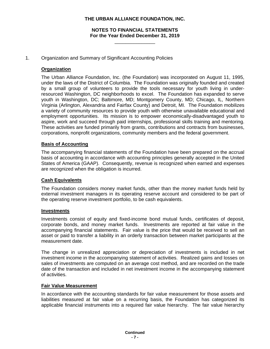# **NOTES TO FINANCIAL STATEMENTS For the Year Ended December 31, 2019**

\_\_\_\_\_\_\_\_\_\_\_\_\_\_\_

### 1. Organization and Summary of Significant Accounting Policies

# **Organization**

The Urban Alliance Foundation, Inc. (the Foundation) was incorporated on August 11, 1995, under the laws of the District of Columbia. The Foundation was originally founded and created by a small group of volunteers to provide the tools necessary for youth living in underresourced Washington, DC neighborhoods to excel. The Foundation has expanded to serve youth in Washington, DC; Baltimore, MD; Montgomery County, MD; Chicago, IL, Northern Virginia (Arlington, Alexandria and Fairfax County) and Detroit, MI. The Foundation mobilizes a variety of community resources to provide youth with otherwise unavailable educational and employment opportunities. Its mission is to empower economically-disadvantaged youth to aspire, work and succeed through paid internships, professional skills training and mentoring. These activities are funded primarily from grants, contributions and contracts from businesses, corporations, nonprofit organizations, community members and the federal government.

### **Basis of Accounting**

The accompanying financial statements of the Foundation have been prepared on the accrual basis of accounting in accordance with accounting principles generally accepted in the United States of America (GAAP). Consequently, revenue is recognized when earned and expenses are recognized when the obligation is incurred.

#### **Cash Equivalents**

The Foundation considers money market funds, other than the money market funds held by external investment managers in its operating reserve account and considered to be part of the operating reserve investment portfolio, to be cash equivalents.

#### **Investments**

Investments consist of equity and fixed-income bond mutual funds, certificates of deposit, corporate bonds, and money market funds. Investments are reported at fair value in the accompanying financial statements. Fair value is the price that would be received to sell an asset or paid to transfer a liability in an orderly transaction between market participants at the measurement date.

The change in unrealized appreciation or depreciation of investments is included in net investment income in the accompanying statement of activities. Realized gains and losses on sales of investments are computed on an average cost method, and are recorded on the trade date of the transaction and included in net investment income in the accompanying statement of activities.

#### **Fair Value Measurement**

In accordance with the accounting standards for fair value measurement for those assets and liabilities measured at fair value on a recurring basis, the Foundation has categorized its applicable financial instruments into a required fair value hierarchy. The fair value hierarchy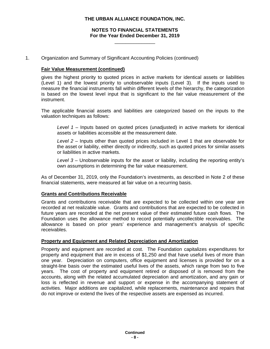# **NOTES TO FINANCIAL STATEMENTS For the Year Ended December 31, 2019**

\_\_\_\_\_\_\_\_\_\_\_\_\_\_\_

1. Organization and Summary of Significant Accounting Policies (continued)

# **Fair Value Measurement (continued)**

gives the highest priority to quoted prices in active markets for identical assets or liabilities (Level 1) and the lowest priority to unobservable inputs (Level 3). If the inputs used to measure the financial instruments fall within different levels of the hierarchy, the categorization is based on the lowest level input that is significant to the fair value measurement of the instrument.

The applicable financial assets and liabilities are categorized based on the inputs to the valuation techniques as follows:

*Level 1* – Inputs based on quoted prices (unadjusted) in active markets for identical assets or liabilities accessible at the measurement date.

*Level 2* – Inputs other than quoted prices included in Level 1 that are observable for the asset or liability, either directly or indirectly, such as quoted prices for similar assets or liabilities in active markets.

*Level 3* – Unobservable inputs for the asset or liability, including the reporting entity's own assumptions in determining the fair value measurement.

As of December 31, 2019, only the Foundation's investments, as described in Note 2 of these financial statements, were measured at fair value on a recurring basis.

# **Grants and Contributions Receivable**

Grants and contributions receivable that are expected to be collected within one year are recorded at net realizable value. Grants and contributions that are expected to be collected in future years are recorded at the net present value of their estimated future cash flows. The Foundation uses the allowance method to record potentially uncollectible receivables. The allowance is based on prior years' experience and management's analysis of specific receivables.

# **Property and Equipment and Related Depreciation and Amortization**

Property and equipment are recorded at cost. The Foundation capitalizes expenditures for property and equipment that are in excess of \$1,250 and that have useful lives of more than one year. Depreciation on computers, office equipment and licenses is provided for on a straight-line basis over the estimated useful lives of the assets, which range from two to five years. The cost of property and equipment retired or disposed of is removed from the accounts, along with the related accumulated depreciation and amortization, and any gain or loss is reflected in revenue and support or expense in the accompanying statement of activities. Major additions are capitalized, while replacements, maintenance and repairs that do not improve or extend the lives of the respective assets are expensed as incurred.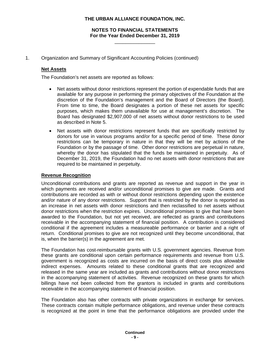# **NOTES TO FINANCIAL STATEMENTS For the Year Ended December 31, 2019**

\_\_\_\_\_\_\_\_\_\_\_\_\_\_\_

1. Organization and Summary of Significant Accounting Policies (continued)

# **Net Assets**

The Foundation's net assets are reported as follows:

- Net assets without donor restrictions represent the portion of expendable funds that are available for any purpose in performing the primary objectives of the Foundation at the discretion of the Foundation's management and the Board of Directors (the Board). From time to time, the Board designates a portion of these net assets for specific purposes, which makes them unavailable for use at management's discretion. The Board has designated \$2,907,000 of net assets without donor restrictions to be used as described in Note 5.
- Net assets with donor restrictions represent funds that are specifically restricted by donors for use in various programs and/or for a specific period of time. These donor restrictions can be temporary in nature in that they will be met by actions of the Foundation or by the passage of time. Other donor restrictions are perpetual in nature, whereby the donor has stipulated that the funds be maintained in perpetuity. As of December 31, 2019, the Foundation had no net assets with donor restrictions that are required to be maintained in perpetuity.

# **Revenue Recognition**

Unconditional contributions and grants are reported as revenue and support in the year in which payments are received and/or unconditional promises to give are made. Grants and contributions are recorded as with or without donor restrictions depending upon the existence and/or nature of any donor restrictions. Support that is restricted by the donor is reported as an increase in net assets with donor restrictions and then reclassified to net assets without donor restrictions when the restriction expires. Unconditional promises to give that have been awarded to the Foundation, but not yet received, are reflected as grants and contributions receivable in the accompanying statement of financial position. A contribution is considered conditional if the agreement includes a measureable performance or barrier and a right of return. Conditional promises to give are not recognized until they become unconditional, that is, when the barrier(s) in the agreement are met.

The Foundation has cost-reimbursable grants with U.S. government agencies. Revenue from these grants are conditional upon certain performance requirements and revenue from U.S. government is recognized as costs are incurred on the basis of direct costs plus allowable indirect expenses. Amounts related to these conditional grants that are recognized and released in the same year are included as grants and contributions without donor restrictions in the accompanying statement of activities. Revenue recognized on these grants for which billings have not been collected from the grantors is included in grants and contributions receivable in the accompanying statement of financial position.

The Foundation also has other contracts with private organizations in exchange for services. These contracts contain multiple performance obligations, and revenue under these contracts is recognized at the point in time that the performance obligations are provided under the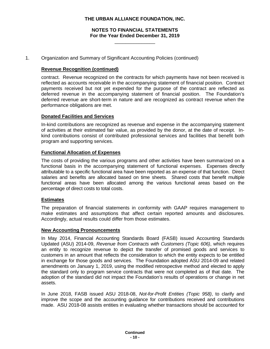# **NOTES TO FINANCIAL STATEMENTS For the Year Ended December 31, 2019**

\_\_\_\_\_\_\_\_\_\_\_\_\_\_\_

1. Organization and Summary of Significant Accounting Policies (continued)

# **Revenue Recognition (continued)**

contract. Revenue recognized on the contracts for which payments have not been received is reflected as accounts receivable in the accompanying statement of financial position. Contract payments received but not yet expended for the purpose of the contract are reflected as deferred revenue in the accompanying statement of financial position. The Foundation's deferred revenue are short-term in nature and are recognized as contract revenue when the performance obligations are met.

### **Donated Facilities and Services**

In-kind contributions are recognized as revenue and expense in the accompanying statement of activities at their estimated fair value, as provided by the donor, at the date of receipt. Inkind contributions consist of contributed professional services and facilities that benefit both program and supporting services.

### **Functional Allocation of Expenses**

The costs of providing the various programs and other activities have been summarized on a functional basis in the accompanying statement of functional expenses. Expenses directly attributable to a specific functional area have been reported as an expense of that function. Direct salaries and benefits are allocated based on time sheets. Shared costs that benefit multiple functional areas have been allocated among the various functional areas based on the percentage of direct costs to total costs.

#### **Estimates**

The preparation of financial statements in conformity with GAAP requires management to make estimates and assumptions that affect certain reported amounts and disclosures. Accordingly, actual results could differ from those estimates.

#### **New Accounting Pronouncements**

In May 2014, Financial Accounting Standards Board (FASB) issued Accounting Standards Updated (ASU) 2014-09, *Revenue from Contracts with Customers (Topic 606)*, which requires an entity to recognize revenue to depict the transfer of promised goods and services to customers in an amount that reflects the consideration to which the entity expects to be entitled in exchange for those goods and services. The Foundation adopted ASU 2014-09 and related amendments on January 1, 2019, using the modified retrospective method and elected to apply the standard only to program service contracts that were not completed as of that date. The adoption of the standard did not impact the Foundation's results of operations or change in net assets.

In June 2018, FASB issued ASU 2018-08, *Not-for-Profit Entities (Topic 958)*, to clarify and improve the scope and the accounting guidance for contributions received and contributions made. ASU 2018-08 assists entities in evaluating whether transactions should be accounted for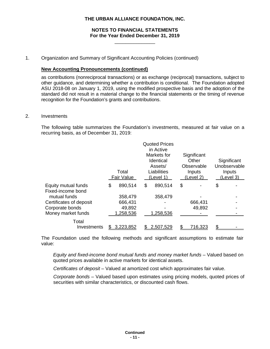# **NOTES TO FINANCIAL STATEMENTS For the Year Ended December 31, 2019**

\_\_\_\_\_\_\_\_\_\_\_\_\_\_\_

#### 1. Organization and Summary of Significant Accounting Policies (continued)

### **New Accounting Pronouncements (continued)**

as contributions (nonreciprocal transactions) or as exchange (reciprocal) transactions, subject to other guidance, and determining whether a contribution is conditional. The Foundation adopted ASU 2018-08 on January 1, 2019, using the modified prospective basis and the adoption of the standard did not result in a material change to the financial statements or the timing of revenue recognition for the Foundation's grants and contributions.

## 2. Investments

The following table summarizes the Foundation's investments, measured at fair value on a recurring basis, as of December 31, 2019:

|                                          | Total<br><b>Fair Value</b> | <b>Quoted Prices</b><br>in Active<br>Markets for<br><b>Identical</b><br>Assets/<br>Liabilities<br>(Level 1) | Significant<br>Other<br>Observable<br>Inputs<br>(Level 2) | Significant<br>Unobservable<br>Inputs<br>(Level 3) |
|------------------------------------------|----------------------------|-------------------------------------------------------------------------------------------------------------|-----------------------------------------------------------|----------------------------------------------------|
| Equity mutual funds<br>Fixed-income bond | \$<br>890,514              | \$<br>890,514                                                                                               | \$                                                        | \$                                                 |
| mutual funds                             | 358,479                    | 358,479                                                                                                     |                                                           |                                                    |
| Certificates of deposit                  | 666,431                    |                                                                                                             | 666,431                                                   |                                                    |
| Corporate bonds                          | 49,892                     |                                                                                                             | 49,892                                                    |                                                    |
| Money market funds                       | 1,258,536                  | 1,258,536                                                                                                   |                                                           |                                                    |
| Total                                    |                            |                                                                                                             |                                                           |                                                    |
| Investments                              | 3,223,852                  | 2,507,529                                                                                                   | 716,323                                                   |                                                    |

The Foundation used the following methods and significant assumptions to estimate fair value:

*Equity and fixed-income bond mutual funds and money market funds –* Valued based on quoted prices available in active markets for identical assets.

*Certificates of deposit –* Valued at amortized cost which approximates fair value.

*Corporate bonds –* Valued based upon estimates using pricing models, quoted prices of securities with similar characteristics, or discounted cash flows.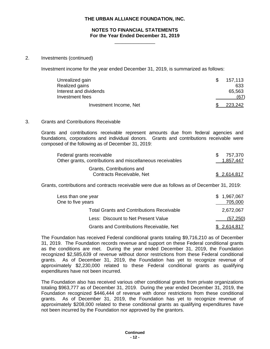#### **NOTES TO FINANCIAL STATEMENTS For the Year Ended December 31, 2019** \_\_\_\_\_\_\_\_\_\_\_\_\_\_\_

#### 2. Investments (continued)

Investment income for the year ended December 31, 2019, is summarized as follows:

| Unrealized gain        | 157,113 |
|------------------------|---------|
| Realized gains         | 633     |
| Interest and dividends | 65,563  |
| Investment fees        | (67)    |
| Investment Income, Net | 223,242 |

#### 3. Grants and Contributions Receivable

Grants and contributions receivable represent amounts due from federal agencies and foundations, corporations and individual donors. Grants and contributions receivable were composed of the following as of December 31, 2019:

| Federal grants receivable<br>Other grants, contributions and miscellaneous receivables | SS. | 757.370<br>1,857,447 |
|----------------------------------------------------------------------------------------|-----|----------------------|
| Grants, Contributions and<br>Contracts Receivable, Net                                 |     | \$2,614,817          |

Grants, contributions and contracts receivable were due as follows as of December 31, 2019:

| Less than one year<br>One to five years          | \$1,967,067<br>705,000 |
|--------------------------------------------------|------------------------|
| <b>Total Grants and Contributions Receivable</b> | 2,672,067              |
| Less: Discount to Net Present Value              | (57, 250)              |
| <b>Grants and Contributions Receivable, Net</b>  | \$ 2,614,817           |

The Foundation has received Federal conditional grants totaling \$9,716,210 as of December 31, 2019. The Foundation records revenue and support on these Federal conditional grants as the conditions are met. During the year ended December 31, 2019, the Foundation recognized \$2,585,639 of revenue without donor restrictions from these Federal conditional grants. As of December 31, 2019, the Foundation has yet to recognize revenue of approximately \$2,230,000 related to these Federal conditional grants as qualifying expenditures have not been incurred.

The Foundation also has received various other conditional grants from private organizations totaling \$963,777 as of December 31, 2019. During the year ended December 31, 2019, the Foundation recognized \$446,444 of revenue with donor restrictions from these conditional grants. As of December 31, 2019, the Foundation has yet to recognize revenue of approximately \$208,000 related to these conditional grants as qualifying expenditures have not been incurred by the Foundation nor approved by the grantors.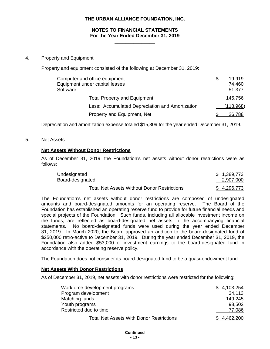#### **NOTES TO FINANCIAL STATEMENTS For the Year Ended December 31, 2019** \_\_\_\_\_\_\_\_\_\_\_\_\_\_\_

#### 4. Property and Equipment

Property and equipment consisted of the following at December 31, 2019:

| Computer and office equipment<br>Equipment under capital leases<br>Software | \$<br>19.919<br>74,460<br>51,377 |
|-----------------------------------------------------------------------------|----------------------------------|
| <b>Total Property and Equipment</b>                                         | 145,756                          |
| Less: Accumulated Depreciation and Amortization                             | (118,968)                        |
| Property and Equipment, Net                                                 | 26,788                           |

Depreciation and amortization expense totaled \$15,309 for the year ended December 31, 2019.

#### 5. Net Assets

### **Net Assets Without Donor Restrictions**

As of December 31, 2019, the Foundation's net assets without donor restrictions were as follows:

| Undesignated                                       | \$1,389,773 |
|----------------------------------------------------|-------------|
| Board-designated                                   | 2,907,000   |
| <b>Total Net Assets Without Donor Restrictions</b> | \$4,296,773 |

The Foundation's net assets without donor restrictions are composed of undesignated amounts and board-designated amounts for an operating reserve. The Board of the Foundation has established an operating reserve fund to provide for future financial needs and special projects of the Foundation. Such funds, including all allocable investment income on the funds, are reflected as board-designated net assets in the accompanying financial statements. No board-designated funds were used during the year ended December 31, 2019. In March 2020, the Board approved an addition to the board-designated fund of \$250,000 retro-active to December 31, 2019. During the year ended December 31, 2019, the Foundation also added \$53,000 of investment earnings to the board-designated fund in accordance with the operating reserve policy.

The Foundation does not consider its board-designated fund to be a quasi-endowment fund.

#### **Net Assets With Donor Restrictions**

As of December 31, 2019, net assets with donor restrictions were restricted for the following:

| Workforce development programs                  | \$4,103,254 |
|-------------------------------------------------|-------------|
| Program development                             | 34.113      |
| Matching funds                                  | 149.245     |
| Youth programs                                  | 98,502      |
| Restricted due to time                          | 77,086      |
| <b>Total Net Assets With Donor Restrictions</b> | \$4,462,200 |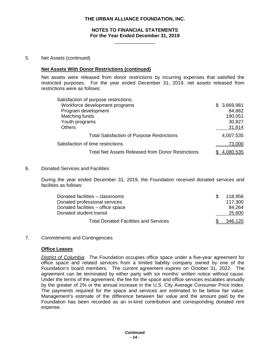#### **NOTES TO FINANCIAL STATEMENTS For the Year Ended December 31, 2019**

\_\_\_\_\_\_\_\_\_\_\_\_\_\_\_

#### 5. Net Assets (continued)

#### **Net Assets With Donor Restrictions (continued)**

Net assets were released from donor restrictions by incurring expenses that satisfied the restricted purposes. For the year ended December 31, 2019, net assets released from restrictions were as follows:

| Satisfaction of purpose restrictions:                    |             |
|----------------------------------------------------------|-------------|
| Workforce development programs                           | \$3,669,981 |
| Program development                                      | 84,862      |
| Matching funds                                           | 190,051     |
| Youth programs                                           | 30,827      |
| <b>Others</b>                                            | 31,814      |
| <b>Total Satisfaction of Purpose Restrictions</b>        | 4,007,535   |
| Satisfaction of time restrictions                        | 73,000      |
| <b>Total Net Assets Released from Donor Restrictions</b> |             |

# 6. Donated Services and Facilities

During the year ended December 31, 2019, the Foundation received donated services and facilities as follows:

| Donated facilities – classrooms              | 118.956 |
|----------------------------------------------|---------|
| Donated professional services                | 117.300 |
| Donated facilities – office space            | 84.264  |
| Donated student transit                      | 25,600  |
| <b>Total Donated Facilities and Services</b> | 346.120 |

7. Commitments and Contingencies

#### **Office Leases**

*District of Columbia*: The Foundation occupies office space under a five-year agreement for office space and related services from a limited liability company owned by one of the Foundation's board members. The current agreement expires on October 31, 2022. The agreement can be terminated by either party with six months' written notice without cause. Under the terms of the agreement, the fee for the space and office services escalates annually by the greater of 2% or the annual increase in the U.S. City Average Consumer Price Index. The payments required for the space and services are estimated to be below fair value. Management's estimate of the difference between fair value and the amount paid by the Foundation has been recorded as an in-kind contribution and corresponding donated rent expense.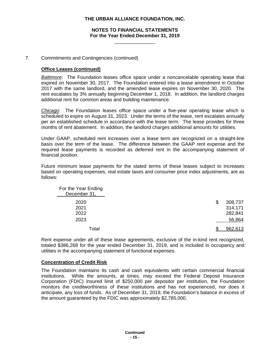## **NOTES TO FINANCIAL STATEMENTS For the Year Ended December 31, 2019**

\_\_\_\_\_\_\_\_\_\_\_\_\_\_\_

# 7. Commitments and Contingencies (continued)

### **Office Leases (continued)**

*Baltimore*: The Foundation leases office space under a noncancelable operating lease that expired on November 30, 2017. The Foundation entered into a lease amendment in October 2017 with the same landlord, and the amended lease expires on November 30, 2020. The rent escalates by 3% annually beginning December 1, 2018. In addition, the landlord charges additional rent for common areas and building maintenance.

*Chicago*: The Foundation leases office space under a five-year operating lease which is scheduled to expire on August 31, 2023. Under the terms of the lease, rent escalates annually per an established schedule in accordance with the lease term. The lease provides for three months of rent abatement. In addition, the landlord charges additional amounts for utilities.

Under GAAP, scheduled rent increases over a lease term are recognized on a straight-line basis over the term of the lease. The difference between the GAAP rent expense and the required lease payments is recorded as deferred rent in the accompanying statement of financial position.

Future minimum lease payments for the stated terms of these leases subject to increases based on operating expenses, real estate taxes and consumer price index adjustments, are as follows:

| For the Year Ending<br>December 31, |                                     |
|-------------------------------------|-------------------------------------|
| 2020<br>2021<br>2022                | \$<br>308,737<br>314,171<br>282,841 |
| 2023                                | 56,864                              |
| Total                               | 962,613                             |

Rent expense under all of these lease agreements, exclusive of the in-kind rent recognized, totaled \$386,268 for the year ended December 31, 2019, and is included in occupancy and utilities in the accompanying statement of functional expenses.

#### **Concentration of Credit Risk**

The Foundation maintains its cash and cash equivalents with certain commercial financial institutions. While the amounts, at times, may exceed the Federal Deposit Insurance Corporation (FDIC) insured limit of \$250,000 per depositor per institution, the Foundation monitors the creditworthiness of these institutions and has not experienced, nor does it anticipate, any loss of funds. As of December 31, 2019, the Foundation's balance in excess of the amount guaranteed by the FDIC was approximately \$2,785,000.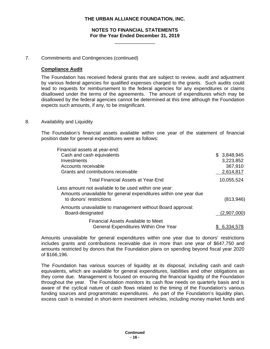### **NOTES TO FINANCIAL STATEMENTS For the Year Ended December 31, 2019**

\_\_\_\_\_\_\_\_\_\_\_\_\_\_\_

#### 7. Commitments and Contingencies (continued)

### **Compliance Audit**

The Foundation has received federal grants that are subject to review, audit and adjustment by various federal agencies for qualified expenses charged to the grants. Such audits could lead to requests for reimbursement to the federal agencies for any expenditures or claims disallowed under the terms of the agreements. The amount of expenditures which may be disallowed by the federal agencies cannot be determined at this time although the Foundation expects such amounts, if any, to be insignificant.

#### 8. Availability and Liquidity

The Foundation's financial assets available within one year of the statement of financial position date for general expenditures were as follows:

| Financial assets at year-end:                                                                                                                        |             |
|------------------------------------------------------------------------------------------------------------------------------------------------------|-------------|
| Cash and cash equivalents                                                                                                                            | \$3,848,945 |
| Investments                                                                                                                                          | 3,223,852   |
| Accounts receivable                                                                                                                                  | 367,910     |
| Grants and contributions receivable                                                                                                                  | 2,614,817   |
| <b>Total Financial Assets at Year-End</b>                                                                                                            | 10,055,524  |
| Less amount not available to be used within one year:<br>Amounts unavailable for general expenditures within one year due<br>to donors' restrictions | (813,946)   |
| Amounts unavailable to management without Board approval:<br>Board-designated                                                                        | (2,907,000) |
| Financial Assets Available to Meet<br>General Expenditures Within One Year                                                                           | 6.334       |

Amounts unavailable for general expenditures within one year due to donors' restrictions includes grants and contributions receivable due in more than one year of \$647,750 and amounts restricted by donors that the Foundation plans on spending beyond fiscal year 2020 of \$166,196.

The Foundation has various sources of liquidity at its disposal, including cash and cash equivalents, which are available for general expenditures, liabilities and other obligations as they come due. Management is focused on ensuring the financial liquidity of the Foundation throughout the year. The Foundation monitors its cash flow needs on quarterly basis and is aware of the cyclical nature of cash flows related to the timing of the Foundation's various funding sources and programmatic expenditures. As part of the Foundation's liquidity plan, excess cash is invested in short-term investment vehicles, including money market funds and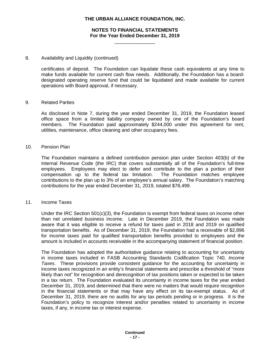#### **NOTES TO FINANCIAL STATEMENTS For the Year Ended December 31, 2019**

\_\_\_\_\_\_\_\_\_\_\_\_\_\_\_

#### 8. Availability and Liquidity (continued)

certificates of deposit. The Foundation can liquidate these cash equivalents at any time to make funds available for current cash flow needs. Additionally, the Foundation has a boarddesignated operating reserve fund that could be liquidated and made available for current operations with Board approval, if necessary.

#### 9. Related Parties

As disclosed in Note 7, during the year ended December 31, 2019, the Foundation leased office space from a limited liability company owned by one of the Foundation's board members. The Foundation paid approximately \$244,000 under this agreement for rent, utilities, maintenance, office cleaning and other occupancy fees.

#### 10. Pension Plan

The Foundation maintains a defined contribution pension plan under Section 403(b) of the Internal Revenue Code (the IRC) that covers substantially all of the Foundation's full-time employees. Employees may elect to defer and contribute to the plan a portion of their compensation up to the federal tax limitation. contributions to the plan up to 3% of an employee's annual salary. The Foundation's matching contributions for the year ended December 31, 2019, totaled \$78,499.

#### 11. Income Taxes

Under the IRC Section 501(c)(3), the Foundation is exempt from federal taxes on income other than net unrelated business income. Late in December 2019, the Foundation was made aware that it was eligible to receive a refund for taxes paid in 2018 and 2019 on qualified transportation benefits. As of December 31, 2019, the Foundation had a receivable of \$2,896 for income taxes paid for qualified transportation benefits provided to employees and the amount is included in accounts receivable in the accompanying statement of financial position.

The Foundation has adopted the authoritative guidance relating to accounting for uncertainty in income taxes included in FASB Accounting Standards Codification Topic 740, *Income Taxes*. These provisions provide consistent guidance for the accounting for uncertainty in income taxes recognized in an entity's financial statements and prescribe a threshold of "more likely than not" for recognition and derecognition of tax positions taken or expected to be taken in a tax return. The Foundation evaluated its uncertainty in income taxes for the year ended December 31, 2019, and determined that there were no matters that would require recognition in the financial statements or that may have any effect on its tax-exempt status. As of December 31, 2019, there are no audits for any tax periods pending or in progress. It is the Foundation's policy to recognize interest and/or penalties related to uncertainty in income taxes, if any, in income tax or interest expense.